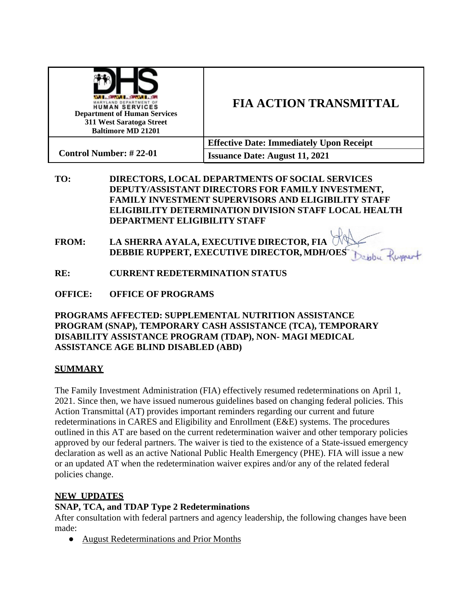| <b>CONTRACTOR</b><br>MARYLAND DEPARTMENT OF<br><b>HUMAN SERVICES</b><br><b>Department of Human Services</b><br>311 West Saratoga Street<br><b>Baltimore MD 21201</b> | <b>FIA ACTION TRANSMITTAL</b>                   |
|----------------------------------------------------------------------------------------------------------------------------------------------------------------------|-------------------------------------------------|
| <b>Control Number: #22-01</b>                                                                                                                                        | <b>Effective Date: Immediately Upon Receipt</b> |
|                                                                                                                                                                      | <b>Issuance Date: August 11, 2021</b>           |

- **TO: DIRECTORS, LOCAL DEPARTMENTS OF SOCIAL SERVICES DEPUTY/ASSISTANT DIRECTORS FOR FAMILY INVESTMENT, FAMILY INVESTMENT SUPERVISORS AND ELIGIBILITY STAFF ELIGIBILITY DETERMINATION DIVISION STAFF LOCAL HEALTH DEPARTMENT ELIGIBILITY STAFF**
- **FROM: LA SHERRA AYALA, EXECUTIVE DIRECTOR, FIA DEBBIE RUPPERT, EXECUTIVE DIRECTOR, MDH/OES** replu Rupport
- **RE: CURRENT REDETERMINATION STATUS**
- **OFFICE: OFFICE OF PROGRAMS**

### **PROGRAMS AFFECTED: SUPPLEMENTAL NUTRITION ASSISTANCE PROGRAM (SNAP), TEMPORARY CASH ASSISTANCE (TCA), TEMPORARY DISABILITY ASSISTANCE PROGRAM (TDAP), NON- MAGI MEDICAL ASSISTANCE AGE BLIND DISABLED (ABD)**

### **SUMMARY**

The Family Investment Administration (FIA) effectively resumed redeterminations on April 1, 2021. Since then, we have issued numerous guidelines based on changing federal policies. This Action Transmittal (AT) provides important reminders regarding our current and future redeterminations in CARES and Eligibility and Enrollment (E&E) systems. The procedures outlined in this AT are based on the current redetermination waiver and other temporary policies approved by our federal partners. The waiver is tied to the existence of a State-issued emergency declaration as well as an active National Public Health Emergency (PHE). FIA will issue a new or an updated AT when the redetermination waiver expires and/or any of the related federal policies change.

# **NEW UPDATES**

# **SNAP, TCA, and TDAP Type 2 Redeterminations**

After consultation with federal partners and agency leadership, the following changes have been made:

● August Redeterminations and Prior Months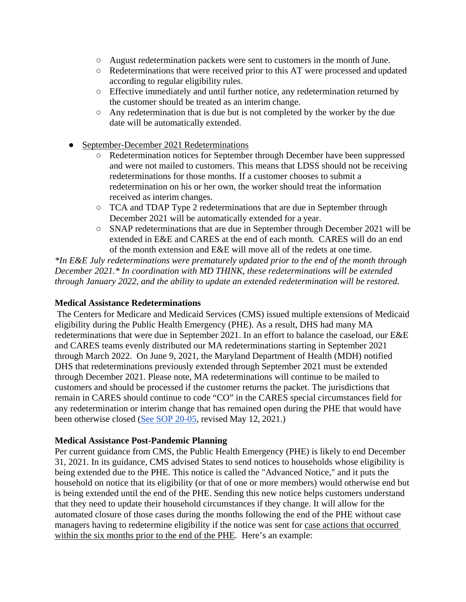- August redetermination packets were sent to customers in the month ofJune.
- Redeterminations that were received prior to this AT were processed and updated according to regular eligibility rules.
- Effective immediately and until further notice, any redetermination returned by the customer should be treated as an interim change.
- Any redetermination that is due but is not completed by the worker by the due date will be automatically extended.
- September-December 2021 Redeterminations
	- Redetermination notices for September through December have been suppressed and were not mailed to customers. This means that LDSS should not be receiving redeterminations for those months. If a customer chooses to submit a redetermination on his or her own, the worker should treat the information received as interim changes.
	- TCA and TDAP Type 2 redeterminations that are due in September through December 2021 will be automatically extended for a year.
	- SNAP redeterminations that are due in September through December 2021 will be extended in E&E and CARES at the end of each month. CARES will do an end of the month extension and E&E will move all of the redets at one time.

*\*In E&E July redeterminations were prematurely updated prior to the end of the month through December 2021.\* In coordination with MD THINK, these redeterminations will be extended through January 2022, and the ability to update an extended redetermination will be restored.*

#### **Medical Assistance Redeterminations**

The Centers for Medicare and Medicaid Services (CMS) issued multiple extensions of Medicaid eligibility during the Public Health Emergency (PHE). As a result, DHS had many MA redeterminations that were due in September 2021. In an effort to balance the caseload, our E&E and CARES teams evenly distributed our MA redeterminations starting in September 2021 through March 2022. On June 9, 2021, the Maryland Department of Health (MDH) notified DHS that redeterminations previously extended through September 2021 must be extended through December 2021. Please note, MA redeterminations will continue to be mailed to customers and should be processed if the customer returns the packet. The jurisdictions that remain in CARES should continue to code "CO" in the CARES special circumstances field for any redetermination or interim change that has remained open during the PHE that would have been otherwise closed [\(See SOP 20-05,](https://drive.google.com/file/d/1X1hwcRoQN8kUQqVadNVo-DH9GeDyrWsD/view?usp=sharing) revised May 12, 2021.)

#### **Medical Assistance Post-Pandemic Planning**

Per current guidance from CMS, the Public Health Emergency (PHE) is likely to end December 31, 2021. In its guidance, CMS advised States to send notices to households whose eligibility is being extended due to the PHE. This notice is called the "Advanced Notice," and it puts the household on notice that its eligibility (or that of one or more members) would otherwise end but is being extended until the end of the PHE. Sending this new notice helps customers understand that they need to update their household circumstances if they change. It will allow for the automated closure of those cases during the months following the end of the PHE without case managers having to redetermine eligibility if the notice was sent for case actions that occurred within the six months prior to the end of the PHE. Here's an example: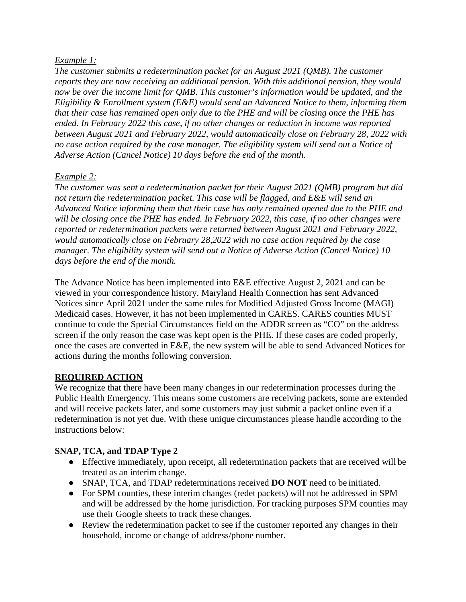## *Example 1:*

*The customer submits a redetermination packet for an August 2021 (QMB). The customer reports they are now receiving an additional pension. With this additional pension, they would now be over the income limit for QMB. This customer's information would be updated, and the Eligibility & Enrollment system (E&E) would send an Advanced Notice to them, informing them that their case has remained open only due to the PHE and will be closing once the PHE has ended. In February 2022 this case, if no other changes or reduction in income was reported between August 2021 and February 2022, would automatically close on February 28, 2022 with no case action required by the case manager. The eligibility system will send out a Notice of Adverse Action (Cancel Notice) 10 days before the end of the month.*

# *Example 2:*

*The customer was sent a redetermination packet for their August 2021 (QMB) program but did not return the redetermination packet. This case will be flagged, and E&E will send an Advanced Notice informing them that their case has only remained opened due to the PHE and will be closing once the PHE has ended. In February 2022, this case, if no other changes were reported or redetermination packets were returned between August 2021 and February 2022, would automatically close on February 28,2022 with no case action required by the case manager. The eligibility system will send out a Notice of Adverse Action (Cancel Notice) 10 days before the end of the month.*

The Advance Notice has been implemented into E&E effective August 2, 2021 and can be viewed in your correspondence history. Maryland Health Connection has sent Advanced Notices since April 2021 under the same rules for Modified Adjusted Gross Income (MAGI) Medicaid cases. However, it has not been implemented in CARES. CARES counties MUST continue to code the Special Circumstances field on the ADDR screen as "CO" on the address screen if the only reason the case was kept open is the PHE. If these cases are coded properly, once the cases are converted in E&E, the new system will be able to send Advanced Notices for actions during the months following conversion.

# **REQUIRED ACTION**

We recognize that there have been many changes in our redetermination processes during the Public Health Emergency. This means some customers are receiving packets, some are extended and will receive packets later, and some customers may just submit a packet online even if a redetermination is not yet due. With these unique circumstances please handle according to the instructions below:

# **SNAP, TCA, and TDAP Type 2**

- Effective immediately, upon receipt, all redetermination packets that are received will be treated as an interim change.
- SNAP, TCA, and TDAP redeterminations received **DO NOT** need to be initiated.
- For SPM counties, these interim changes (redet packets) will not be addressed in SPM and will be addressed by the home jurisdiction. For tracking purposes SPM counties may use their Google sheets to track these changes.
- Review the redetermination packet to see if the customer reported any changes in their household, income or change of address/phone number.